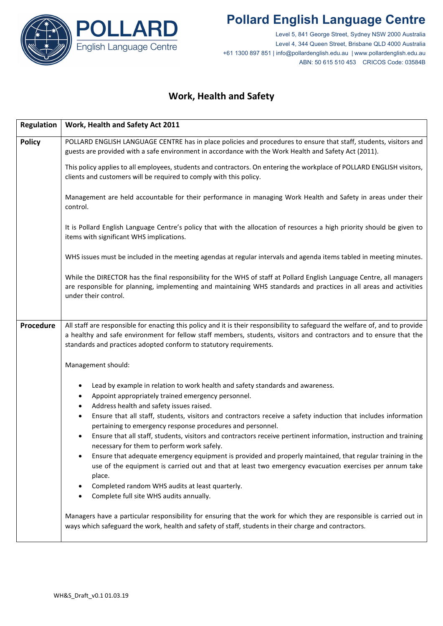

## **Pollard English Language Centre**

Level 5, 841 George Street, Sydney NSW 2000 Australia Level 4, 344 Queen Street, Brisbane QLD 4000 Australia +61 1300 897 851 | info@pollardenglish.edu.au | www.pollardenglish.edu.au ABN: 50 615 510 453 CRICOS Code: 03584B

## **Work, Health and Safety**

| <b>Regulation</b> | Work, Health and Safety Act 2011                                                                                                                                                                                                                                                                                          |
|-------------------|---------------------------------------------------------------------------------------------------------------------------------------------------------------------------------------------------------------------------------------------------------------------------------------------------------------------------|
| <b>Policy</b>     | POLLARD ENGLISH LANGUAGE CENTRE has in place policies and procedures to ensure that staff, students, visitors and<br>guests are provided with a safe environment in accordance with the Work Health and Safety Act (2011).                                                                                                |
|                   | This policy applies to all employees, students and contractors. On entering the workplace of POLLARD ENGLISH visitors,<br>clients and customers will be required to comply with this policy.                                                                                                                              |
|                   | Management are held accountable for their performance in managing Work Health and Safety in areas under their<br>control.                                                                                                                                                                                                 |
|                   | It is Pollard English Language Centre's policy that with the allocation of resources a high priority should be given to<br>items with significant WHS implications.                                                                                                                                                       |
|                   | WHS issues must be included in the meeting agendas at regular intervals and agenda items tabled in meeting minutes.                                                                                                                                                                                                       |
|                   | While the DIRECTOR has the final responsibility for the WHS of staff at Pollard English Language Centre, all managers<br>are responsible for planning, implementing and maintaining WHS standards and practices in all areas and activities<br>under their control.                                                       |
| Procedure         | All staff are responsible for enacting this policy and it is their responsibility to safeguard the welfare of, and to provide<br>a healthy and safe environment for fellow staff members, students, visitors and contractors and to ensure that the<br>standards and practices adopted conform to statutory requirements. |
|                   | Management should:                                                                                                                                                                                                                                                                                                        |
|                   | Lead by example in relation to work health and safety standards and awareness.<br>Appoint appropriately trained emergency personnel.<br>٠<br>Address health and safety issues raised.<br>٠                                                                                                                                |
|                   | Ensure that all staff, students, visitors and contractors receive a safety induction that includes information<br>٠<br>pertaining to emergency response procedures and personnel.                                                                                                                                         |
|                   | Ensure that all staff, students, visitors and contractors receive pertinent information, instruction and training<br>necessary for them to perform work safely.                                                                                                                                                           |
|                   | Ensure that adequate emergency equipment is provided and properly maintained, that regular training in the<br>use of the equipment is carried out and that at least two emergency evacuation exercises per annum take<br>place.                                                                                           |
|                   | Completed random WHS audits at least quarterly.<br>Complete full site WHS audits annually.<br>٠                                                                                                                                                                                                                           |
|                   | Managers have a particular responsibility for ensuring that the work for which they are responsible is carried out in<br>ways which safeguard the work, health and safety of staff, students in their charge and contractors.                                                                                             |